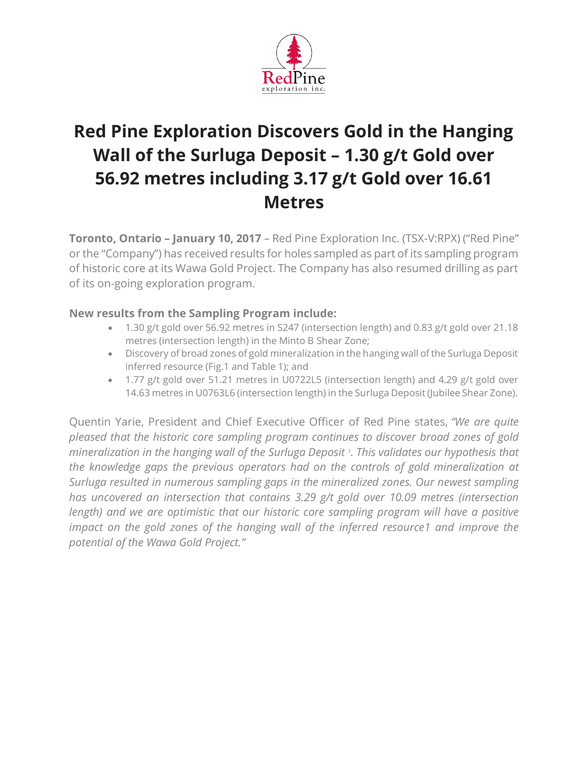

# **Red Pine Exploration Discovers Gold in the Hanging Wall of the Surluga Deposit – 1.30 g/t Gold over 56.92 metres including 3.17 g/t Gold over 16.61 Metres**

**Toronto, Ontario – January 10, 2017** – Red Pine Exploration Inc. (TSX-V:RPX) ("Red Pine" or the "Company") has received results for holes sampled as part of its sampling program of historic core at its Wawa Gold Project. The Company has also resumed drilling as part of its on-going exploration program.

# **New results from the Sampling Program include:**

- 1.30 g/t gold over 56.92 metres in S247 (intersection length) and 0.83 g/t gold over 21.18 metres (intersection length) in the Minto B Shear Zone;
- Discovery of broad zones of gold mineralization in the hanging wall of the Surluga Deposit inferred resource (Fig.1 and Table 1); and
- 1.77 g/t gold over 51.21 metres in U0722L5 (intersection length) and 4.29 g/t gold over 14.63 metres in U0763L6 (intersection length) in the Surluga Deposit (Jubilee Shear Zone).

Quentin Yarie, President and Chief Executive Officer of Red Pine states, *"We are quite pleased that the historic core sampling program continues to discover broad zones of gold mineralization in the hanging wall of the Surluga Deposit <sup>1</sup> . This validates our hypothesis that the knowledge gaps the previous operators had on the controls of gold mineralization at Surluga resulted in numerous sampling gaps in the mineralized zones. Our newest sampling has uncovered an intersection that contains 3.29 g/t gold over 10.09 metres (intersection length) and we are optimistic that our historic core sampling program will have a positive impact on the gold zones of the hanging wall of the inferred resource1 and improve the potential of the Wawa Gold Project."*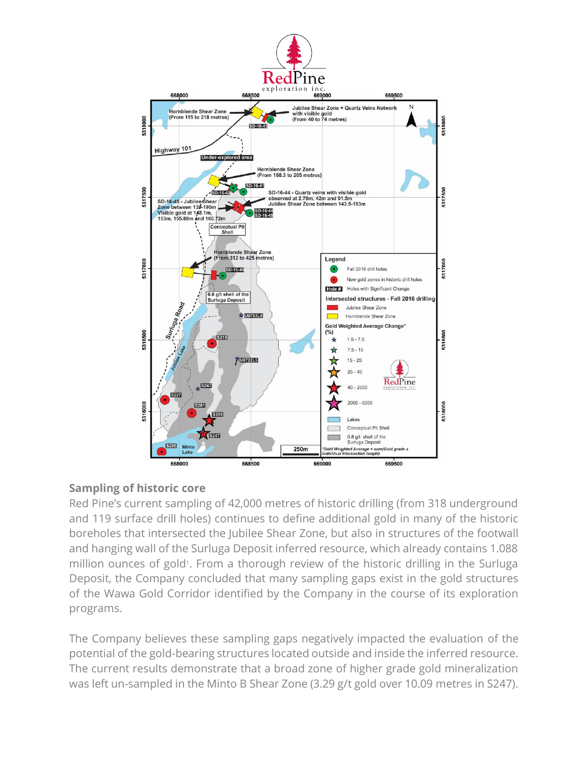

#### **Sampling of historic core**

Red Pine's current sampling of 42,000 metres of historic drilling (from 318 underground and 119 surface drill holes) continues to define additional gold in many of the historic boreholes that intersected the Jubilee Shear Zone, but also in structures of the footwall and hanging wall of the Surluga Deposit inferred resource, which already contains 1.088 million ounces of gold<sup>1</sup>. From a thorough review of the historic drilling in the Surluga Deposit, the Company concluded that many sampling gaps exist in the gold structures of the Wawa Gold Corridor identified by the Company in the course of its exploration programs.

The Company believes these sampling gaps negatively impacted the evaluation of the potential of the gold-bearing structures located outside and inside the inferred resource. The current results demonstrate that a broad zone of higher grade gold mineralization was left un-sampled in the Minto B Shear Zone (3.29 g/t gold over 10.09 metres in S247).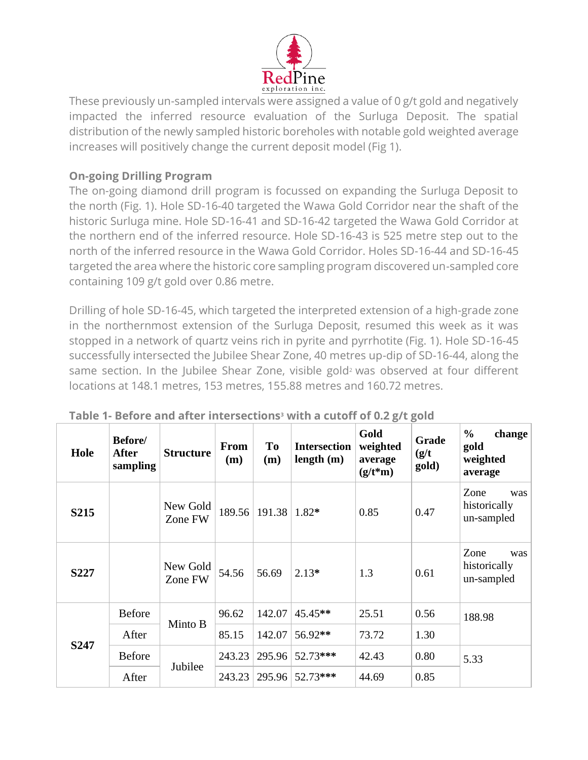

These previously un-sampled intervals were assigned a value of 0 g/t gold and negatively impacted the inferred resource evaluation of the Surluga Deposit. The spatial distribution of the newly sampled historic boreholes with notable gold weighted average increases will positively change the current deposit model (Fig 1).

# **On-going Drilling Program**

The on-going diamond drill program is focussed on expanding the Surluga Deposit to the north (Fig. 1). Hole SD-16-40 targeted the Wawa Gold Corridor near the shaft of the historic Surluga mine. Hole SD-16-41 and SD-16-42 targeted the Wawa Gold Corridor at the northern end of the inferred resource. Hole SD-16-43 is 525 metre step out to the north of the inferred resource in the Wawa Gold Corridor. Holes SD-16-44 and SD-16-45 targeted the area where the historic core sampling program discovered un-sampled core containing 109 g/t gold over 0.86 metre.

Drilling of hole SD-16-45, which targeted the interpreted extension of a high-grade zone in the northernmost extension of the Surluga Deposit, resumed this week as it was stopped in a network of quartz veins rich in pyrite and pyrrhotite (Fig. 1). Hole SD-16-45 successfully intersected the Jubilee Shear Zone, 40 metres up-dip of SD-16-44, along the same section. In the Jubilee Shear Zone, visible gold<sup>2</sup> was observed at four different locations at 148.1 metres, 153 metres, 155.88 metres and 160.72 metres.

| Hole              | Before/<br><b>After</b><br>sampling | <b>Structure</b>    | <b>From</b><br>(m) | <b>To</b><br>(m)   | <b>Intersection</b><br>length(m) | Gold<br>weighted<br>average<br>$(g/t*m)$ | Grade<br>(g/t)<br>gold) | $\frac{0}{0}$<br>change<br>gold<br>weighted<br>average |
|-------------------|-------------------------------------|---------------------|--------------------|--------------------|----------------------------------|------------------------------------------|-------------------------|--------------------------------------------------------|
| S <sub>2</sub> 15 |                                     | New Gold<br>Zone FW | 189.56             | $191.38$   $1.82*$ |                                  | 0.85                                     | 0.47                    | Zone<br>was<br>historically<br>un-sampled              |
| S227              |                                     | New Gold<br>Zone FW | 54.56              | 56.69              | $2.13*$                          | 1.3                                      | 0.61                    | Zone<br>was<br>historically<br>un-sampled              |
| S <sub>247</sub>  | <b>Before</b>                       | Minto B             | 96.62              | 142.07             | 45.45**                          | 25.51                                    | 0.56                    | 188.98                                                 |
|                   | After                               |                     | 85.15              | 142.07             | 56.92**                          | 73.72                                    | 1.30                    |                                                        |
|                   | <b>Before</b>                       | Jubilee             | 243.23             | 295.96             | 52.73***                         | 42.43                                    | 0.80                    | 5.33                                                   |
|                   | After                               |                     | 243.23             |                    | 295.96 52.73***                  | 44.69                                    | 0.85                    |                                                        |

|  |  |  | Table 1- Before and after intersections <sup>3</sup> with a cutoff of 0.2 g/t gold |
|--|--|--|------------------------------------------------------------------------------------|
|--|--|--|------------------------------------------------------------------------------------|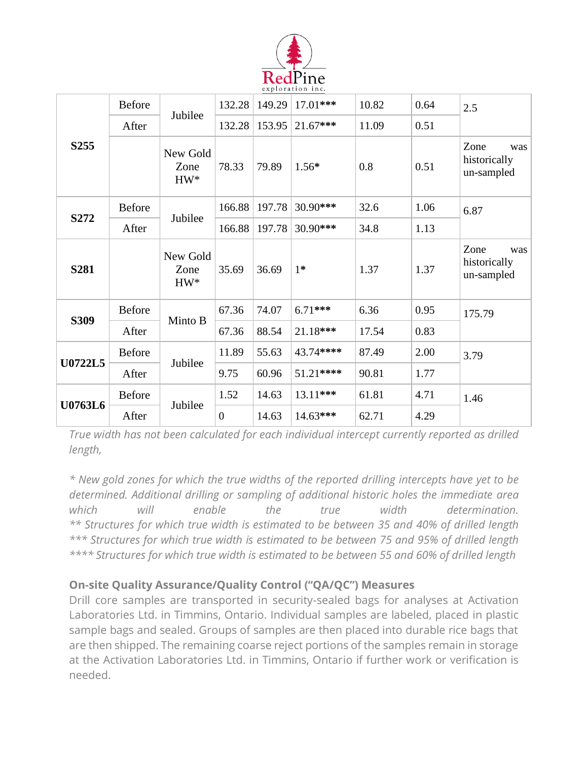

| S <sub>255</sub> | <b>Before</b> | Jubilee                    | 132.28         | 149.29 | $17.01***$ | 10.82 | 0.64 | 2.5                                       |
|------------------|---------------|----------------------------|----------------|--------|------------|-------|------|-------------------------------------------|
|                  | After         |                            | 132.28         | 153.95 | $21.67***$ | 11.09 | 0.51 |                                           |
|                  |               | New Gold<br>Zone<br>$HW^*$ | 78.33          | 79.89  | $1.56*$    | 0.8   | 0.51 | Zone<br>was<br>historically<br>un-sampled |
| S272             | <b>Before</b> | Jubilee                    | 166.88         | 197.78 | 30.90***   | 32.6  | 1.06 | 6.87                                      |
|                  | After         |                            | 166.88         | 197.78 | 30.90***   | 34.8  | 1.13 |                                           |
| <b>S281</b>      |               | New Gold<br>Zone<br>$HW^*$ | 35.69          | 36.69  | $1*$       | 1.37  | 1.37 | Zone<br>was<br>historically<br>un-sampled |
| S309             | <b>Before</b> | Minto B                    | 67.36          | 74.07  | $6.71***$  | 6.36  | 0.95 | 175.79                                    |
|                  | After         |                            | 67.36          | 88.54  | 21.18***   | 17.54 | 0.83 |                                           |
| <b>U0722L5</b>   | <b>Before</b> | Jubilee                    | 11.89          | 55.63  | 43.74****  | 87.49 | 2.00 | 3.79                                      |
|                  | After         |                            | 9.75           | 60.96  | 51.21****  | 90.81 | 1.77 |                                           |
| U0763L6          | <b>Before</b> | Jubilee                    | 1.52           | 14.63  | 13.11***   | 61.81 | 4.71 | 1.46                                      |
|                  | After         |                            | $\overline{0}$ | 14.63  | 14.63***   | 62.71 | 4.29 |                                           |

*True width has not been calculated for each individual intercept currently reported as drilled length,*

*\* New gold zones for which the true widths of the reported drilling intercepts have yet to be determined. Additional drilling or sampling of additional historic holes the immediate area which will enable the true width determination. \*\* Structures for which true width is estimated to be between 35 and 40% of drilled length \*\*\* Structures for which true width is estimated to be between 75 and 95% of drilled length \*\*\*\* Structures for which true width is estimated to be between 55 and 60% of drilled length*

# **On-site Quality Assurance/Quality Control ("QA/QC") Measures**

Drill core samples are transported in security-sealed bags for analyses at Activation Laboratories Ltd. in Timmins, Ontario. Individual samples are labeled, placed in plastic sample bags and sealed. Groups of samples are then placed into durable rice bags that are then shipped. The remaining coarse reject portions of the samples remain in storage at the Activation Laboratories Ltd. in Timmins, Ontario if further work or verification is needed.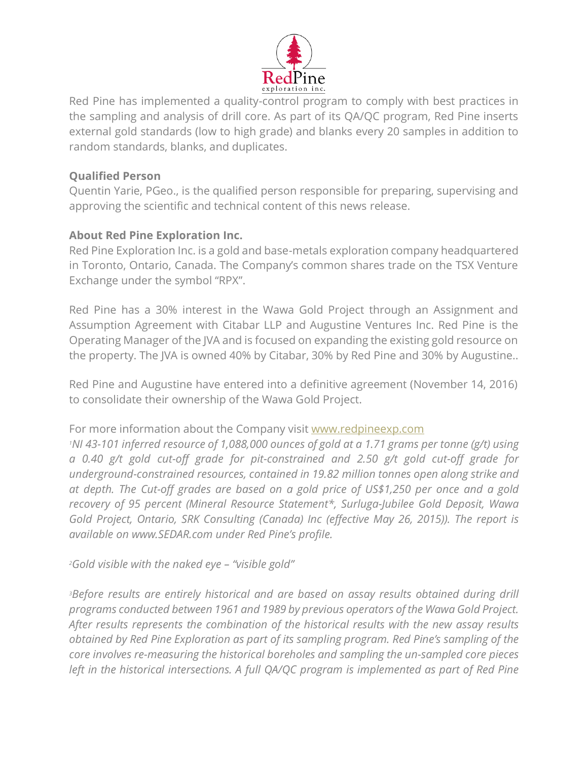

Red Pine has implemented a quality-control program to comply with best practices in the sampling and analysis of drill core. As part of its QA/QC program, Red Pine inserts external gold standards (low to high grade) and blanks every 20 samples in addition to random standards, blanks, and duplicates.

#### **Qualified Person**

Quentin Yarie, PGeo., is the qualified person responsible for preparing, supervising and approving the scientific and technical content of this news release.

### **About Red Pine Exploration Inc.**

Red Pine Exploration Inc. is a gold and base-metals exploration company headquartered in Toronto, Ontario, Canada. The Company's common shares trade on the TSX Venture Exchange under the symbol "RPX".

Red Pine has a 30% interest in the Wawa Gold Project through an Assignment and Assumption Agreement with Citabar LLP and Augustine Ventures Inc. Red Pine is the Operating Manager of the JVA and is focused on expanding the existing gold resource on the property. The JVA is owned 40% by Citabar, 30% by Red Pine and 30% by Augustine..

Red Pine and Augustine have entered into a definitive agreement (November 14, 2016) to consolidate their ownership of the Wawa Gold Project.

#### For more information about the Company visit [www.redpineexp.com](http://www.redpineexp.com/)

*<sup>1</sup>NI 43-101 inferred resource of 1,088,000 ounces of gold at a 1.71 grams per tonne (g/t) using a 0.40 g/t gold cut-off grade for pit-constrained and 2.50 g/t gold cut-off grade for underground-constrained resources, contained in 19.82 million tonnes open along strike and at depth. The Cut-off grades are based on a gold price of US\$1,250 per once and a gold recovery of 95 percent (Mineral Resource Statement\*, Surluga-Jubilee Gold Deposit, Wawa Gold Project, Ontario, SRK Consulting (Canada) Inc (effective May 26, 2015)). The report is available on www.SEDAR.com under Red Pine's profile.*

*<sup>2</sup>Gold visible with the naked eye – "visible gold"*

*<sup>3</sup>Before results are entirely historical and are based on assay results obtained during drill programs conducted between 1961 and 1989 by previous operators of the Wawa Gold Project. After results represents the combination of the historical results with the new assay results obtained by Red Pine Exploration as part of its sampling program. Red Pine's sampling of the core involves re-measuring the historical boreholes and sampling the un-sampled core pieces left in the historical intersections. A full QA/QC program is implemented as part of Red Pine*